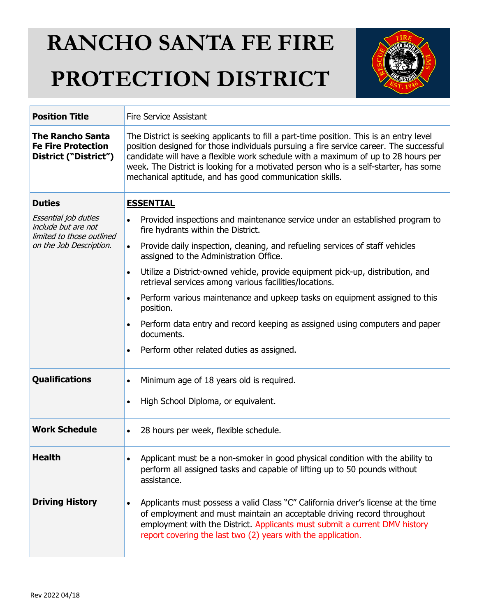## **RANCHO SANTA FE FIRE PROTECTION DISTRICT**



| <b>Position Title</b>                                                                               | <b>Fire Service Assistant</b>                                                                                                                                                                                                                                                                                                                                                                                             |  |  |
|-----------------------------------------------------------------------------------------------------|---------------------------------------------------------------------------------------------------------------------------------------------------------------------------------------------------------------------------------------------------------------------------------------------------------------------------------------------------------------------------------------------------------------------------|--|--|
| <b>The Rancho Santa</b><br><b>Fe Fire Protection</b><br>District ("District")                       | The District is seeking applicants to fill a part-time position. This is an entry level<br>position designed for those individuals pursuing a fire service career. The successful<br>candidate will have a flexible work schedule with a maximum of up to 28 hours per<br>week. The District is looking for a motivated person who is a self-starter, has some<br>mechanical aptitude, and has good communication skills. |  |  |
| <b>Duties</b>                                                                                       | <b>ESSENTIAL</b>                                                                                                                                                                                                                                                                                                                                                                                                          |  |  |
| Essential job duties<br>include but are not<br>limited to those outlined<br>on the Job Description. | Provided inspections and maintenance service under an established program to<br>$\bullet$<br>fire hydrants within the District.                                                                                                                                                                                                                                                                                           |  |  |
|                                                                                                     | Provide daily inspection, cleaning, and refueling services of staff vehicles<br>$\bullet$<br>assigned to the Administration Office.                                                                                                                                                                                                                                                                                       |  |  |
|                                                                                                     | Utilize a District-owned vehicle, provide equipment pick-up, distribution, and<br>$\bullet$<br>retrieval services among various facilities/locations.                                                                                                                                                                                                                                                                     |  |  |
|                                                                                                     | Perform various maintenance and upkeep tasks on equipment assigned to this<br>$\bullet$<br>position.                                                                                                                                                                                                                                                                                                                      |  |  |
|                                                                                                     | Perform data entry and record keeping as assigned using computers and paper<br>$\bullet$<br>documents.                                                                                                                                                                                                                                                                                                                    |  |  |
|                                                                                                     | Perform other related duties as assigned.<br>$\bullet$                                                                                                                                                                                                                                                                                                                                                                    |  |  |
| <b>Qualifications</b>                                                                               | Minimum age of 18 years old is required.<br>$\bullet$                                                                                                                                                                                                                                                                                                                                                                     |  |  |
|                                                                                                     | High School Diploma, or equivalent.<br>$\bullet$                                                                                                                                                                                                                                                                                                                                                                          |  |  |
| <b>Work Schedule</b>                                                                                | 28 hours per week, flexible schedule.<br>$\bullet$                                                                                                                                                                                                                                                                                                                                                                        |  |  |
| Health                                                                                              | Applicant must be a non-smoker in good physical condition with the ability to<br>perform all assigned tasks and capable of lifting up to 50 pounds without<br>assistance.                                                                                                                                                                                                                                                 |  |  |
| <b>Driving History</b>                                                                              | Applicants must possess a valid Class "C" California driver's license at the time<br>$\bullet$<br>of employment and must maintain an acceptable driving record throughout<br>employment with the District. Applicants must submit a current DMV history<br>report covering the last two (2) years with the application.                                                                                                   |  |  |